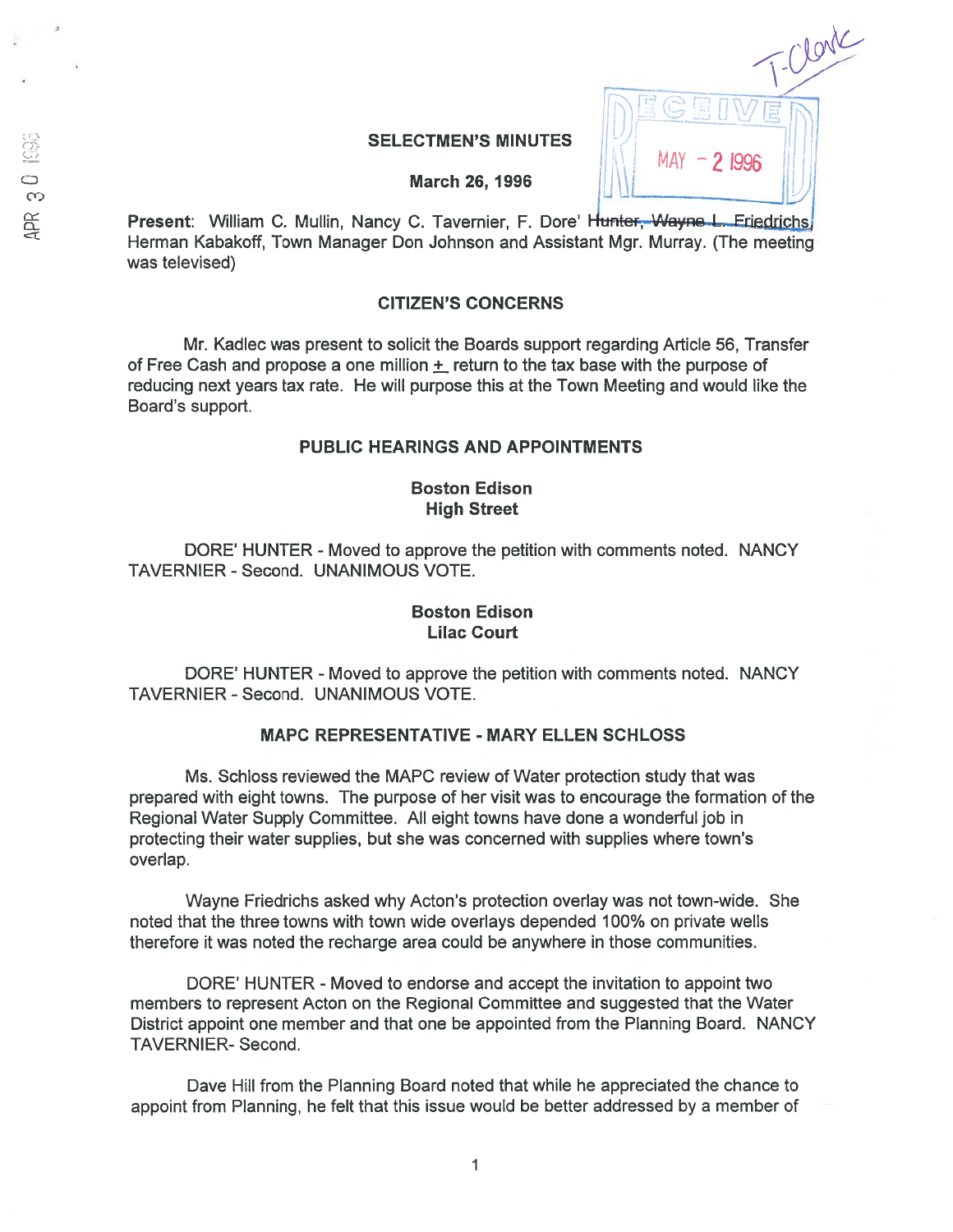# SELECTMEN'S MINUTES  $\bigcup_{MAY}$   $\bigcap_{1}$   $\bigcap_{2}$  1996

Clone

DEGEUAEU

March 26, 1996

Present: William C. Mullin, Nancy C. Tavernier, F. Dore' Hunter, Wayne L. Eriedrichs Herman Kabakoff, Town Manager Don Johnson and Assistant Mgr. Murray. (The meeting was televised)

# CITIZEN'S CONCERNS

Mr. Kadlec was presen<sup>t</sup> to solicit the Boards suppor<sup>t</sup> regarding Article 56, Transfer of Free Cash and propose a one million  $+$  return to the tax base with the purpose of reducing next years tax rate. He will purpose this at the Town Meeting and would like the Board's support.

## PUBLIC HEARINGS AND APPOINTMENTS

# Boston Edison High Street

DORE' HUNTER - Moved to approve the petition with comments noted. NANCY TAVERNIER - Second. UNANIMOUS VOTE.

## Boston Edison Lilac Court

DORE' HUNTER - Moved to approve the petition with comments noted. NANCY TAVERNIER - Second. UNANIMOUS VOTE.

# MAPC REPRESENTATIVE - MARY ELLEN SCHLOSS

Ms. Schloss reviewed the MAPC review of Water protection study that was prepared with eight towns. The purpose of her visit was to encourage the formation of the Regional Water Supply Committee. All eight towns have done <sup>a</sup> wonderful job in protecting their water supplies, but she was concerned with supplies where town's overlap.

Wayne Friedrichs asked why Acton's protection overlay was not town-wide. She noted that the three towns with town wide overlays depended 100% on private wells therefore it was noted the recharge area could be anywhere in those communities.

DORE' HUNTER - Moved to endorse and accept the invitation to appoint two members to represen<sup>t</sup> Acton on the Regional Committee and suggested that the Water District appoint one member and that one be appointed from the Planning Board. NANCY TAVERNIER- Second.

Dave Hill from the Planning Board noted that while he appreciated the chance to appoint from Planning, he felt that this issue would be better addressed by <sup>a</sup> member of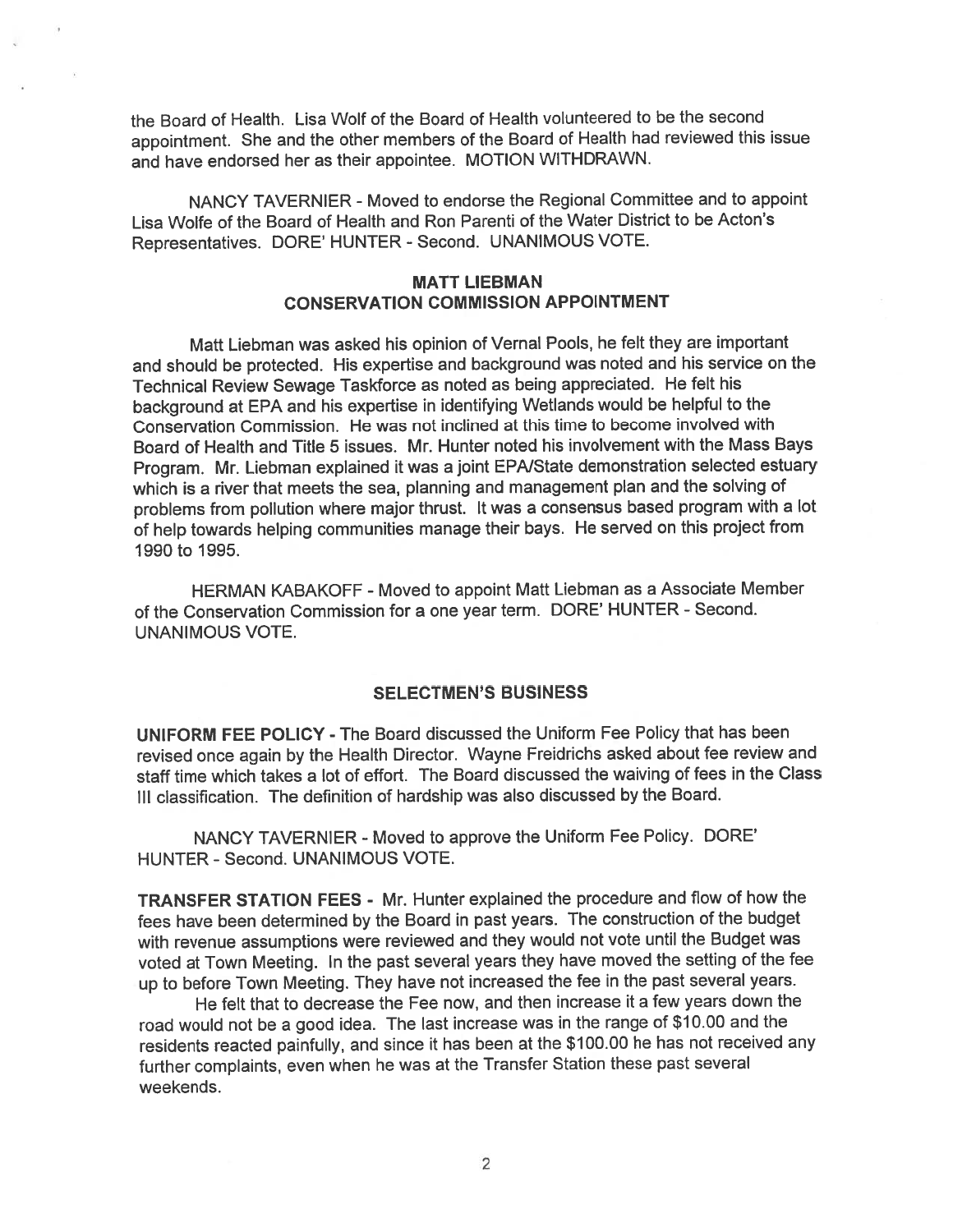the Board of Health. Lisa Wolf of the Board of Health volunteered to be the second appointment. She and the other members of the Board of Health had reviewed this issue and have endorsed her as their appointee. MOTION WITHDRAWN.

NANCY TAVERNIER - Moved to endorse the Regional Committee and to appoint Lisa Wolfe of the Board of Health and Ron Parenti of the Water District to be Acton's Representatives. DORE' HUNTER -Second. UNANIMOUS VOTE.

# MATT LIEBMAN CONSERVATION COMMISSION APPOINTMENT

Matt Liebman was asked his opinion of Vernal Pools, he felt they are important and should be protected. His expertise and background was noted and his service on the Technical Review Sewage Taskforce as noted as being appreciated. He felt his background at EPA and his expertise in identifying Wetlands would be helpful to the Conservation Commission. He was not inclined at this time to become involved with Board of Health and Title 5 issues. Mr. Hunter noted his involvement with the Mass Bays Program. Mr. Liebman explained it was <sup>a</sup> joint EPA/State demonstration selected estuary which is a river that meets the sea, planning and management plan and the solving of problems from pollution where major thrust, It was <sup>a</sup> consensus based program with <sup>a</sup> lot of help towards helping communities manage their bays. He served on this project from 1990 to 1995.

HERMAN KABAKOFF -Moved to appoint Matt Liebman as <sup>a</sup> Associate Member of the Conservation Commission for <sup>a</sup> one year term. DORE' HUNTER - Second. UNANIMOUS VOTE.

# SELECTMEN'S BUSINESS

UNIFORM FEE POLICY - The Board discussed the Uniform Fee Policy that has been revised once again by the Health Director. Wayne Freidrichs asked about fee review and staff time which takes <sup>a</sup> lot of effort. The Board discussed the waiving of fees in the Class III classification. The definition of hardship was also discussed by the Board.

NANCY TAVERNIER - Moved to approve the Uniform Fee Policy. DORE' HUNTER - Second. UNANIMOUS VOTE.

TRANSFER STATION FEES - Mr. Hunter explained the procedure and flow of how the fees have been determined by the Board in pas<sup>t</sup> years. The construction of the budget with revenue assumptions were reviewed and they would not vote until the Budget was voted at Town Meeting. In the pas<sup>t</sup> several years they have moved the setting of the fee up to before Town Meeting. They have not increased the fee in the pas<sup>t</sup> several years.

He felt that to decrease the Fee now, and then increase it <sup>a</sup> few years down the road would not be <sup>a</sup> goo<sup>d</sup> idea. The last increase was in the range of \$10.00 and the residents reacted painfully, and since it has been at the \$100.00 he has not received any further complaints, even when he was at the Transfer Station these pas<sup>t</sup> several weekends.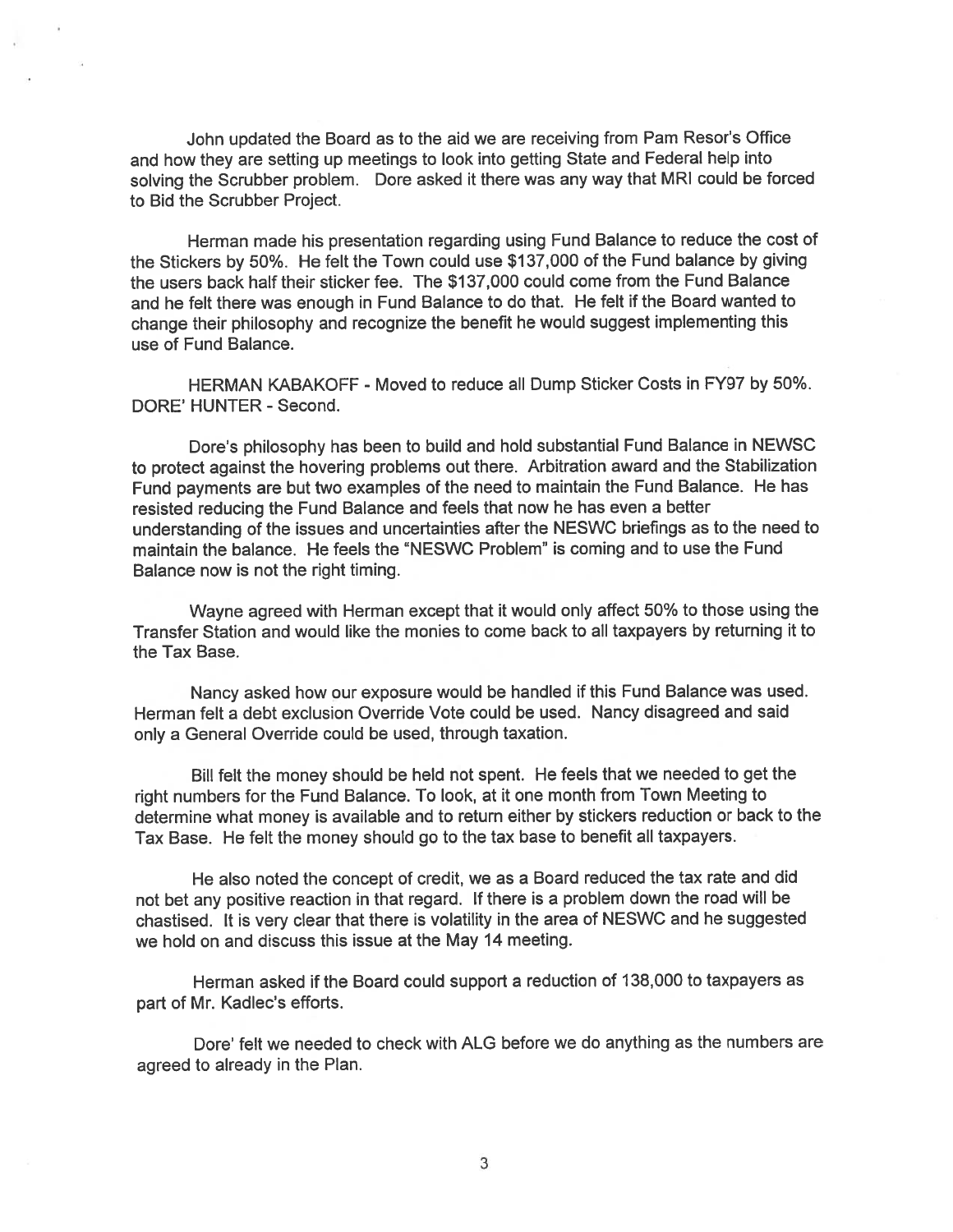John updated the Board as to the aid we are receiving from Pam Resor's Office and how they are setting up meetings to look into getting State and Federal help into solving the Scrubber problem. Dore asked it there was any way that MRI could be forced to Bid the Scrubber Project.

Herman made his presentation regarding using Fund Balance to reduce the cost of the Stickers by 50%. He felt the Town could use \$137,000 of the Fund balance by <sup>g</sup>iving the users back half their sticker fee. The \$137,000 could come from the Fund Balance and he felt there was enough in Fund Balance to do that. He felt if the Board wanted to change their <sup>p</sup>hilosophy and recognize the benefit he would sugges<sup>t</sup> implementing this use of Fund Balance.

HERMAN KABAKOFF - Moved to reduce all Dump Sticker Costs in FY97 by 50%. DORE' HUNTER - Second.

Dore's <sup>p</sup>hilosophy has been to build and hold substantial Fund Balance in NEWSC to protect against the hovering problems out there. Arbitration award and the Stabilization Fund payments are but two examples of the need to maintain the Fund Balance. He has resisted reducing the Fund Balance and feels that now he has even <sup>a</sup> better understanding of the issues and uncertainties after the NESWC briefings as to the need to maintain the balance. He feels the "NESWC Problem" is coming and to use the Fund Balance now is not the right timing.

Wayne agree<sup>d</sup> with Herman excep<sup>t</sup> that it would only affect 50% to those using the Transfer Station and would like the monies to come back to all taxpayers by returning it to the Tax Base.

Nancy asked how our exposure would be handled if this Fund Balance was used. Herman felt <sup>a</sup> debt exclusion Override Vote could be used. Nancy disagreed and said only <sup>a</sup> General Override could be used, through taxation.

Bill felt the money should be held not spent. He feels that we needed to ge<sup>t</sup> the right numbers for the Fund Balance. To look, at it one month from Town Meeting to determine what money is available and to return either by stickers reduction or back to the Tax Base. He felt the money should go to the tax base to benefit all taxpayers.

He also noted the concep<sup>t</sup> of credit, we as <sup>a</sup> Board reduced the tax rate and did not bet any positive reaction in that regard. If there is <sup>a</sup> problem down the road will be chastised. It is very cleat that there is volatility in the area of NESWC and he suggested we hold on and discuss this issue at the May 14 meeting.

Herman asked if the Board could suppor<sup>t</sup> <sup>a</sup> reduction of 138,000 to taxpayers as par<sup>t</sup> of Mr. Kadlec's efforts.

Dote' felt we needed to check with ALG before we do anything as the numbers are agreed to already in the Plan.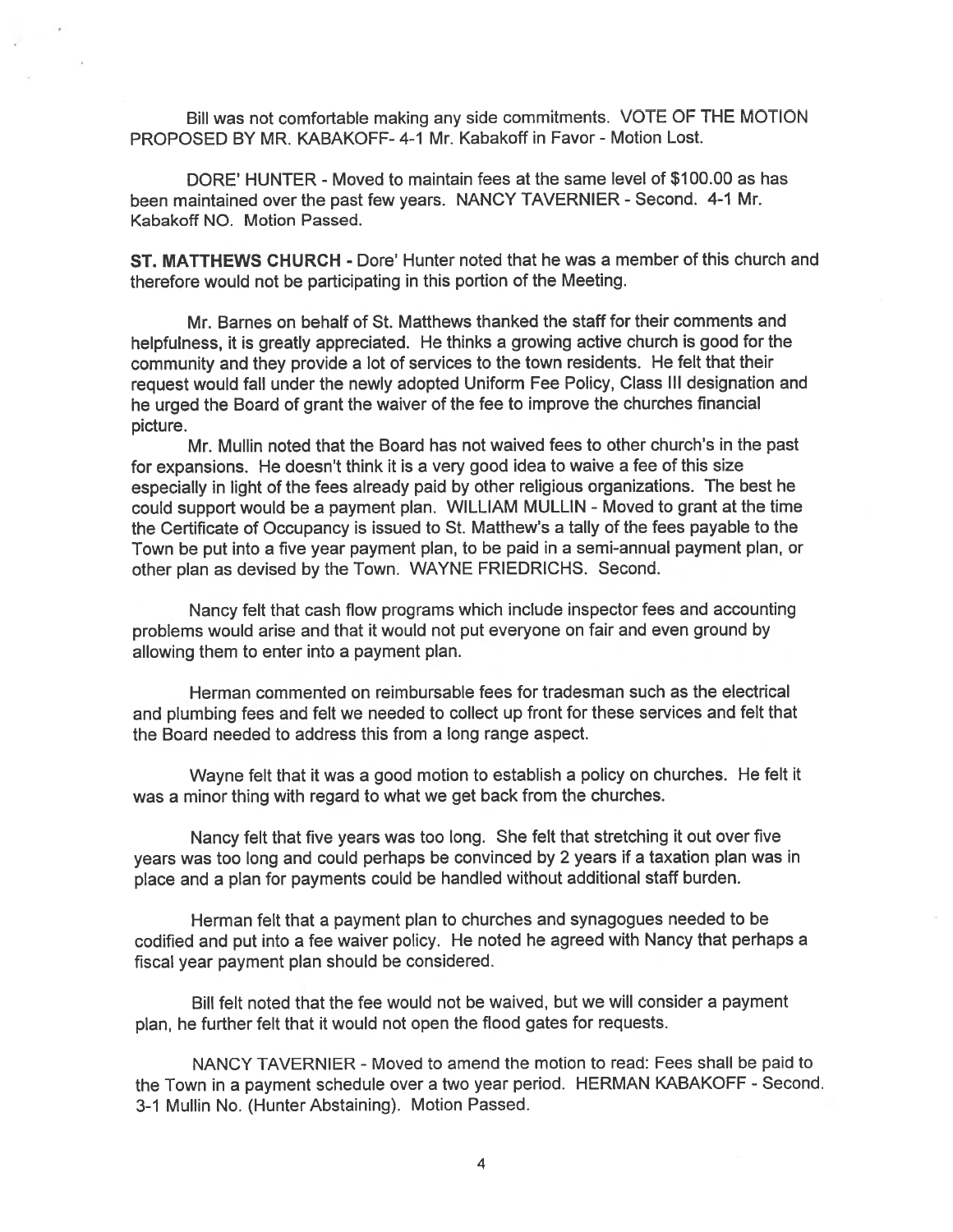Bill was not comfortable making any side commitments. VOTE OF THE MOTION PROPOSED BY MR. KABAKOFF- 4-1 Mr. Kabakoff in Favor - Motion Lost.

DORE' HUNTER - Moved to maintain fees at the same level of \$100.00 as has been maintained over the past few years. NANCY TAVERNIER - Second. 4-1 Mr. Kabakoff NO. Motion Passed.

ST. MATTHEWS CHURCH - Dore' Hunter noted that he was <sup>a</sup> member of this church and therefore would not be participating in this portion of the Meeting.

Mr. Barnes on behalf of St. Matthews thanked the staff for their comments and helpfulness, it is greatly appreciated. He thinks <sup>a</sup> growing active church is goo<sup>d</sup> for the community and they provide <sup>a</sup> lot of services to the town residents. He felt that their reques<sup>t</sup> would fall under the newly adopted Uniform Fee Policy, Class Ill designation and he urged the Board of gran<sup>t</sup> the waiver of the fee to improve the churches financial picture.

Mr. Mullin noted that the Board has not waived fees to other church's in the pas<sup>t</sup> for expansions. He doesn't think it is <sup>a</sup> very goo<sup>d</sup> idea to waive <sup>a</sup> fee of this size especially in light of the fees already paid by other religious organizations. The best he could suppor<sup>t</sup> would be <sup>a</sup> paymen<sup>t</sup> <sup>p</sup>lan. WILLIAM MULLIN - Moved to gran<sup>t</sup> at the time the Certificate of Occupancy is issued to St. Matthew's <sup>a</sup> tally of the fees payable to the Town be pu<sup>t</sup> into <sup>a</sup> five year paymen<sup>t</sup> <sup>p</sup>lan, to be paid in <sup>a</sup> semi-annual paymen<sup>t</sup> <sup>p</sup>lan, or other <sup>p</sup>lan as devised by the Town. WAYNE FRIEDRICHS. Second.

Nancy felt that cash flow programs which include inspector fees and accounting problems would arise and that it would not pu<sup>t</sup> everyone on fair and even ground by allowing them to enter into <sup>a</sup> paymen<sup>t</sup> plan.

Herman commented on reimbursable fees for tradesman such as the electrical and <sup>p</sup>lumbing fees and felt we needed to collect up front for these services and felt that the Board needed to address this from <sup>a</sup> long range aspect.

Wayne felt that it was <sup>a</sup> good motion to establish <sup>a</sup> policy on churches. He felt it was <sup>a</sup> minor thing with regard to what we ge<sup>t</sup> back from the churches.

Nancy felt that five years was too long. She felt that stretching it out over five years was too long and could perhaps be convinced by <sup>2</sup> years if <sup>a</sup> taxation <sup>p</sup>lan was in <sup>p</sup>lace and <sup>a</sup> <sup>p</sup>lan for payments could be handled without additional staff burden.

Herman felt that <sup>a</sup> paymen<sup>t</sup> plan to churches and synagogues needed to be codified and pu<sup>t</sup> into <sup>a</sup> fee waiver policy. He noted he agreed with Nancy that perhaps <sup>a</sup> fiscal year paymen<sup>t</sup> plan should be considered.

Bill felt noted that the fee would not be waived, but we will consider <sup>a</sup> paymen<sup>t</sup> <sup>p</sup>lan, he further felt that it would not open the flood gates for requests.

NANCY TAVERNIER -Moved to amend the motion to read: Fees shall be paid to the Town in <sup>a</sup> paymen<sup>t</sup> schedule over <sup>a</sup> two year period. HERMAN KABAKOFF - Second. 3-1 Mullin No. (Hunter Abstaining). Motion Passed.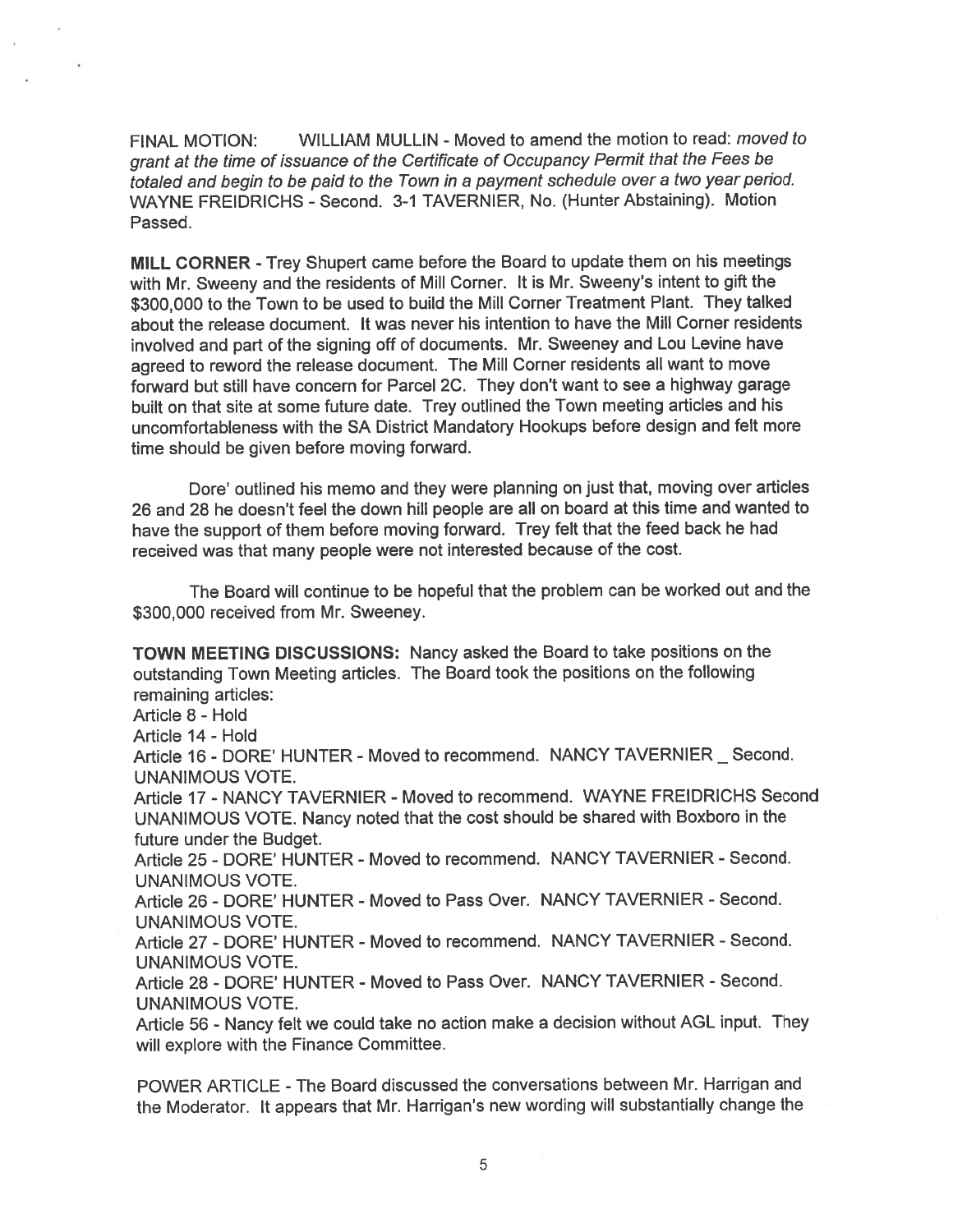FINAL MOTION: WILLIAM MULLIN - Moved to amend the motion to read: moved to gran<sup>t</sup> at the time of issuance of the Certificate of Occupancy Permit that the Fees be totaled and begin to be paid to the Town in <sup>a</sup> paymen<sup>t</sup> schedule over <sup>a</sup> two year period. WAYNE FREIDRICHS - Second. 3-1 TAVERNIER, No. (Hunter Abstaining). Motion Passed.

MILL CORNER -Trey Shupert came before the Board to update them on his meetings with Mr. Sweeny and the residents of Mill Corner. It is Mr. Sweeny's intent to <sup>g</sup>ift the \$300,000 to the Town to be used to build the Mill Corner Treatment Plant. They talked about the release document. It was never his intention to have the Mill Corner residents involved and par<sup>t</sup> of the signing off of documents. Mr. Sweeney and Lou Levine have agree<sup>d</sup> to reword the release document. The Mill Corner residents all want to move forward but still have concern for Parcel 2C. They don't want to see <sup>a</sup> highway garage built on that site at some future date. Trey outlined the Town meeting articles and his uncomfortableness with the SA District Mandatory Hookups before design and felt mote time should be given before moving forward.

Dore' outlined his memo and they were planning on just that, moving over articles 26 and 28 he doesn't feel the down hill people are all on board at this time and wanted to have the suppor<sup>t</sup> of them before moving forward. Trey felt that the feed back he had received was that many people were not interested because of the cost.

The Board will continue to be hopeful that the problem can be worked out and the \$300,000 received from Mr. Sweeney.

TOWN MEETING DISCUSSIONS: Nancy asked the Board to take positions on the outstanding Town Meeting articles. The Board took the positions on the following remaining articles:

Article 8 - Hold

Article 14 - Hold

Article 16 - DORE' HUNTER - Moved to recommend. NANCY TAVERNIER \_ Second. UNANIMOUS VOTE.

Article 17- NANCY TAVERNIER - Moved to recommend. WAYNE FREIDRICHS Second UNANIMOUS VOTE. Nancy noted that the cost should be shared with Boxboro in the future under the Budget.

Article 25 - DORE' HUNTER - Moved to recommend. NANCY TAVERNIER - Second. UNANIMOUS VOTE.

Article 26- DORE' HUNTER - Moved to Pass Over. NANCY TAVERNIER - Second. UNANIMOUS VOTE.

Article 27 - DORE' HUNTER - Moved to recommend. NANCY TAVERNIER - Second. UNANIMOUS VOTE.

Article 28- DORE' HUNTER - Moved to Pass Over. NANCY TAVERNIER - Second. UNANIMOUS VOTE.

Article 56 - Nancy felt we could take no action make a decision without AGL input. They will explore with the Finance Committee.

POWER ARTICLE -The Board discussed the conversations between Mr. Harrigan and the Moderator. It appears that Mr. Harrigan's new wording will substantially change the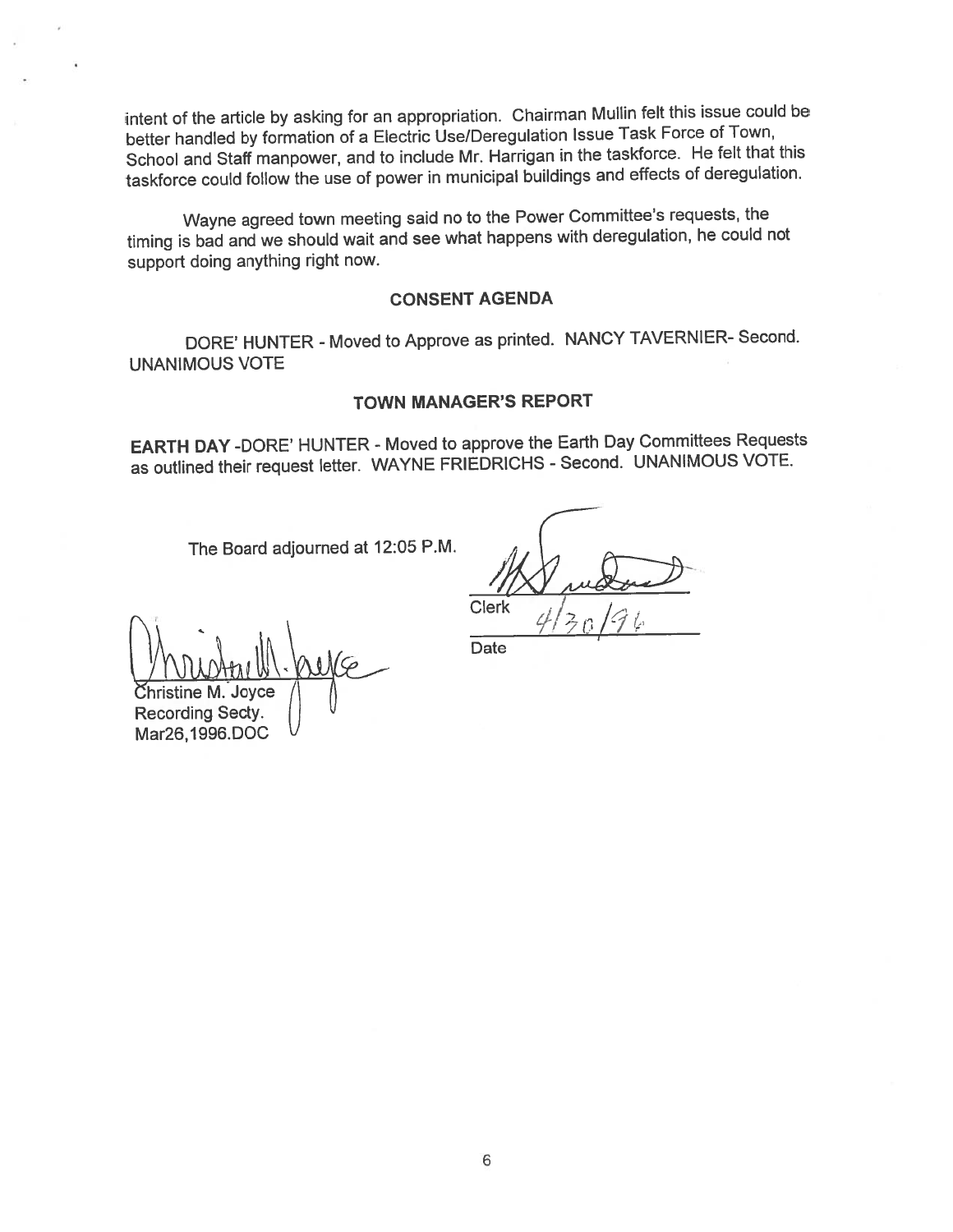intent of the article by asking for an appropriation. Chairman Mullin felt this issue could be better handled by formation of <sup>a</sup> Electric Use/Deregulation Issue Task Force of Town, School and Staff manpower, and to include Mr. Harrigan in the taskforce. He felt that this taskforce could follow the use of power in municipal buildings and effects of deregulation.

Wayne agree<sup>d</sup> town meeting said no to the Power Committee's requests, the timing is bad and we should wait and see what happens with deregulation, he could not suppor<sup>t</sup> doing anything right now.

## CONSENT AGENDA

DORE' HUNTER - Moved to Approve as printed. NANCY TAVERNIER- Second. UNANIMOUS VOTE

## TOWN MANAGER'S REPORT

EARTH DAY -DORE' HUNTER - Moved to approve the Earth Day Committees Requests as outlined their reques<sup>t</sup> letter. WAYNE FRIEDRICHS - Second. UNANIMOUS VOTE.

The Board adjourned at 12:05 P.M.

Clerk

0 19 k

Christine M. Joyce

Recording Secty. Mar26, 1996.DOC

Date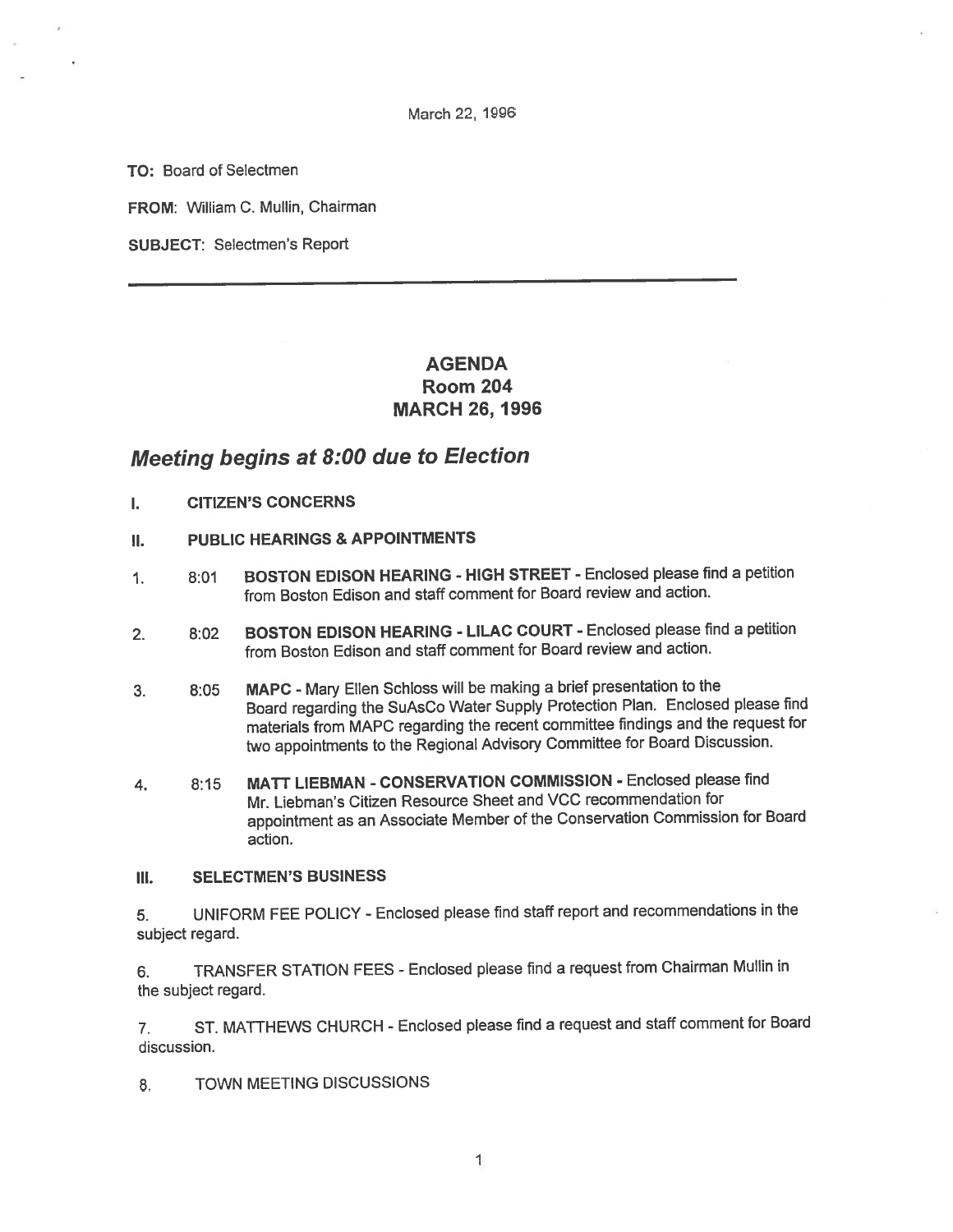March 22, 1996

TO: Board of Selectmen

FROM: William C. Mullin, Chairman

SUBJECT: Selectmen's Report

# AGENDA Room 204 MARCH 26, 1996

# Meeting begins at 8:00 due to Election

- I. CITIZEN'S CONCERNS
- II. PUBLIC HEARINGS & APPOINTMENTS
- 1. 8:01 BOSTON EDISON HEARING HIGH STREET Enclosed <sup>p</sup>lease find <sup>a</sup> petition from Boston Edison and staff comment for Board review and action.
- 2. 8:02 BOSTON EDISON HEARING LILAC COURT Enclosed <sup>p</sup>lease find <sup>a</sup> petition from Boston Edison and staff comment for Board review and action.
- 3. 8:05 MAPC Mary Ellen Schloss will be making <sup>a</sup> brief presentation to the Board regarding the SuAsCo Water Supply Protection Plan. Enclosed <sup>p</sup>lease find materials from MAPC regarding the recent committee findings and the reques<sup>t</sup> for two appointments to the Regional Advisory Committee for Board Discussion.
- 4. 8:15 MATT LIEBMAN -CONSERVATION COMMISSION Enclosed <sup>p</sup>lease find Mr. Liebman's Citizen Resource Sheet and VCC recommendation for appointment as an Associate Member of the Conservation Commission for Board action.

## III. SELECTMEN'S BUSINESS

5. UNIFORM FEE POLICY -Enclosed <sup>p</sup>lease find staff repor<sup>t</sup> and recommendations in the subject regard.

6. TRANSFER STATION FEES - Enclosed <sup>p</sup>lease find <sup>a</sup> reques<sup>t</sup> from Chairman Mullin in the subject regard.

7. ST. MATTHEWS CHURCH - Enclosed <sup>p</sup>lease find <sup>a</sup> reques<sup>t</sup> and staff comment for Board discussion.

8. TOWN MEETING DISCUSSIONS